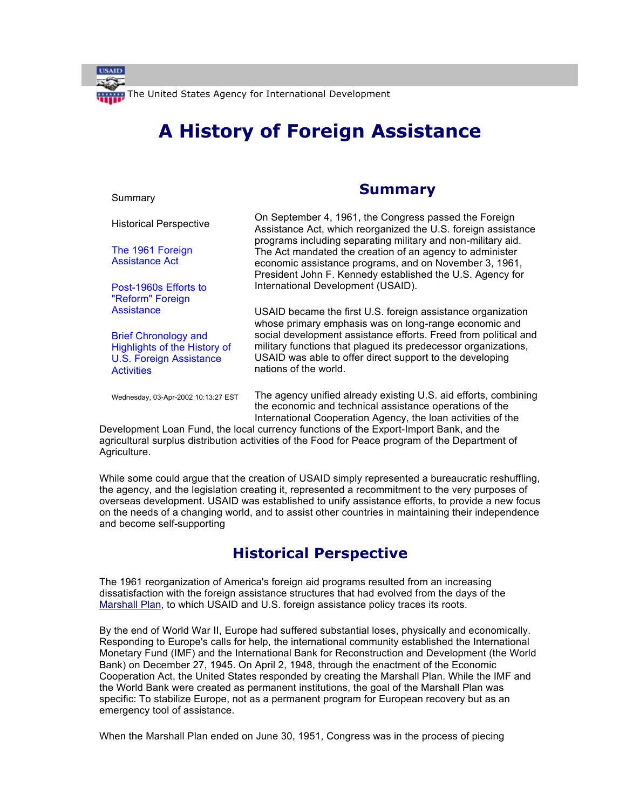**The United States Agency for International Development** 

Summary

**USAID** 

# **A History of Foreign Assistance**

**Summary**

On September 4, 1961, the Congress passed the Foreign Assistance Act, which reorganized the U.S. foreign assistance programs including separating military and non-military aid. The Act mandated the creation of an agency to administer economic assistance programs, and on November 3, 1961, President John F. Kennedy established the U.S. Agency for International Development (USAID). USAID became the first U.S. foreign assistance organization whose primary emphasis was on long-range economic and social development assistance efforts. Freed from political and military functions that plagued its predecessor organizations, USAID was able to offer direct support to the developing nations of the world. The agency unified already existing U.S. aid efforts, combining the economic and technical assistance operations of the International Cooperation Agency, the loan activities of the Historical Perspective [The 1961 Foreign](#page-1-0) [Assistance Act](#page-1-0) [Post-1960s Efforts to](#page-3-0) ["Reform" Foreign](#page-3-0) **[Assistance](#page-3-0)** [Brief Chronology and](#page-7-0) [Highlights of the History of](#page-7-0) [U.S. Foreign Assistance](#page-7-0) **[Activities](#page-7-0)** Wednesday, 03-Apr-2002 10:13:27 EST

Development Loan Fund, the local currency functions of the Export-Import Bank, and the agricultural surplus distribution activities of the Food for Peace program of the Department of Agriculture.

While some could argue that the creation of USAID simply represented a bureaucratic reshuffling, the agency, and the legislation creating it, represented a recommitment to the very purposes of overseas development. USAID was established to unify assistance efforts, to provide a new focus on the needs of a changing world, and to assist other countries in maintaining their independence and become self-supporting

## **Historical Perspective**

The 1961 reorganization of America's foreign aid programs resulted from an increasing dissatisfaction with the foreign assistance structures that had evolved from the days of the Marshall Plan, to which USAID and U.S. foreign assistance policy traces its roots.

By the end of World War II, Europe had suffered substantial loses, physically and economically. Responding to Europe's calls for help, the international community established the International Monetary Fund (IMF) and the International Bank for Reconstruction and Development (the World Bank) on December 27, 1945. On April 2, 1948, through the enactment of the Economic Cooperation Act, the United States responded by creating the Marshall Plan. While the IMF and the World Bank were created as permanent institutions, the goal of the Marshall Plan was specific: To stabilize Europe, not as a permanent program for European recovery but as an emergency tool of assistance.

When the Marshall Plan ended on June 30, 1951, Congress was in the process of piecing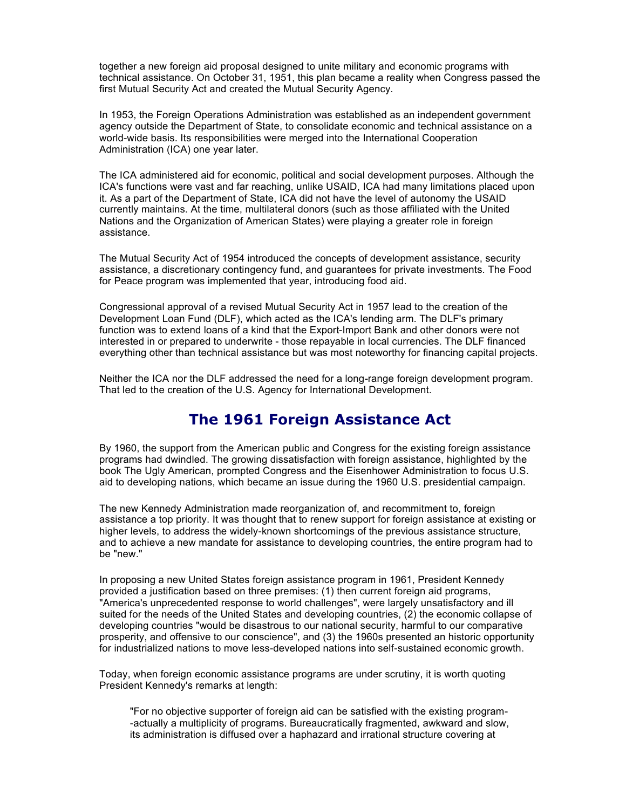<span id="page-1-0"></span>together a new foreign aid proposal designed to unite military and economic programs with technical assistance. On October 31, 1951, this plan became a reality when Congress passed the first Mutual Security Act and created the Mutual Security Agency.

In 1953, the Foreign Operations Administration was established as an independent government agency outside the Department of State, to consolidate economic and technical assistance on a world-wide basis. Its responsibilities were merged into the International Cooperation Administration (ICA) one year later.

The ICA administered aid for economic, political and social development purposes. Although the ICA's functions were vast and far reaching, unlike USAID, ICA had many limitations placed upon it. As a part of the Department of State, ICA did not have the level of autonomy the USAID currently maintains. At the time, multilateral donors (such as those affiliated with the United Nations and the Organization of American States) were playing a greater role in foreign assistance.

The Mutual Security Act of 1954 introduced the concepts of development assistance, security assistance, a discretionary contingency fund, and guarantees for private investments. The Food for Peace program was implemented that year, introducing food aid.

Congressional approval of a revised Mutual Security Act in 1957 lead to the creation of the Development Loan Fund (DLF), which acted as the ICA's lending arm. The DLF's primary function was to extend loans of a kind that the Export-Import Bank and other donors were not interested in or prepared to underwrite - those repayable in local currencies. The DLF financed everything other than technical assistance but was most noteworthy for financing capital projects.

Neither the ICA nor the DLF addressed the need for a long-range foreign development program. That led to the creation of the U.S. Agency for International Development.

# **The 1961 Foreign Assistance Act**

By 1960, the support from the American public and Congress for the existing foreign assistance programs had dwindled. The growing dissatisfaction with foreign assistance, highlighted by the book The Ugly American, prompted Congress and the Eisenhower Administration to focus U.S. aid to developing nations, which became an issue during the 1960 U.S. presidential campaign.

The new Kennedy Administration made reorganization of, and recommitment to, foreign assistance a top priority. It was thought that to renew support for foreign assistance at existing or higher levels, to address the widely-known shortcomings of the previous assistance structure, and to achieve a new mandate for assistance to developing countries, the entire program had to be "new."

In proposing a new United States foreign assistance program in 1961, President Kennedy provided a justification based on three premises: (1) then current foreign aid programs, "America's unprecedented response to world challenges", were largely unsatisfactory and ill suited for the needs of the United States and developing countries, (2) the economic collapse of developing countries "would be disastrous to our national security, harmful to our comparative prosperity, and offensive to our conscience", and (3) the 1960s presented an historic opportunity for industrialized nations to move less-developed nations into self-sustained economic growth.

Today, when foreign economic assistance programs are under scrutiny, it is worth quoting President Kennedy's remarks at length:

"For no objective supporter of foreign aid can be satisfied with the existing program- -actually a multiplicity of programs. Bureaucratically fragmented, awkward and slow, its administration is diffused over a haphazard and irrational structure covering at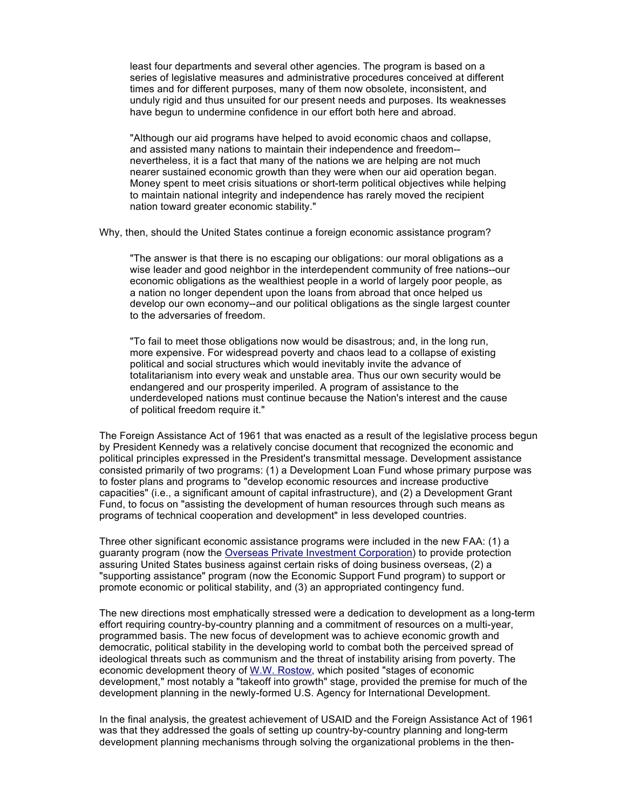least four departments and several other agencies. The program is based on a series of legislative measures and administrative procedures conceived at different times and for different purposes, many of them now obsolete, inconsistent, and unduly rigid and thus unsuited for our present needs and purposes. Its weaknesses have begun to undermine confidence in our effort both here and abroad.

"Although our aid programs have helped to avoid economic chaos and collapse, and assisted many nations to maintain their independence and freedom- nevertheless, it is a fact that many of the nations we are helping are not much nearer sustained economic growth than they were when our aid operation began. Money spent to meet crisis situations or short-term political objectives while helping to maintain national integrity and independence has rarely moved the recipient nation toward greater economic stability."

Why, then, should the United States continue a foreign economic assistance program?

"The answer is that there is no escaping our obligations: our moral obligations as a wise leader and good neighbor in the interdependent community of free nations--our economic obligations as the wealthiest people in a world of largely poor people, as a nation no longer dependent upon the loans from abroad that once helped us develop our own economy--and our political obligations as the single largest counter to the adversaries of freedom.

"To fail to meet those obligations now would be disastrous; and, in the long run, more expensive. For widespread poverty and chaos lead to a collapse of existing political and social structures which would inevitably invite the advance of totalitarianism into every weak and unstable area. Thus our own security would be endangered and our prosperity imperiled. A program of assistance to the underdeveloped nations must continue because the Nation's interest and the cause of political freedom require it."

The Foreign Assistance Act of 1961 that was enacted as a result of the legislative process begun by President Kennedy was a relatively concise document that recognized the economic and political principles expressed in the President's transmittal message. Development assistance consisted primarily of two programs: (1) a Development Loan Fund whose primary purpose was to foster plans and programs to "develop economic resources and increase productive capacities" (i.e., a significant amount of capital infrastructure), and (2) a Development Grant Fund, to focus on "assisting the development of human resources through such means as programs of technical cooperation and development" in less developed countries.

Three other significant economic assistance programs were included in the new FAA: (1) a guaranty program (now the Overseas Private Investment Corporation) to provide protection assuring United States business against certain risks of doing business overseas, (2) a "supporting assistance" program (now the Economic Support Fund program) to support or promote economic or political stability, and (3) an appropriated contingency fund.

The new directions most emphatically stressed were a dedication to development as a long-term effort requiring country-by-country planning and a commitment of resources on a multi-year, programmed basis. The new focus of development was to achieve economic growth and democratic, political stability in the developing world to combat both the perceived spread of ideological threats such as communism and the threat of instability arising from poverty. The economic development theory of W.W. Rostow, which posited "stages of economic development," most notably a "takeoff into growth" stage, provided the premise for much of the development planning in the newly-formed U.S. Agency for International Development.

In the final analysis, the greatest achievement of USAID and the Foreign Assistance Act of 1961 was that they addressed the goals of setting up country-by-country planning and long-term development planning mechanisms through solving the organizational problems in the then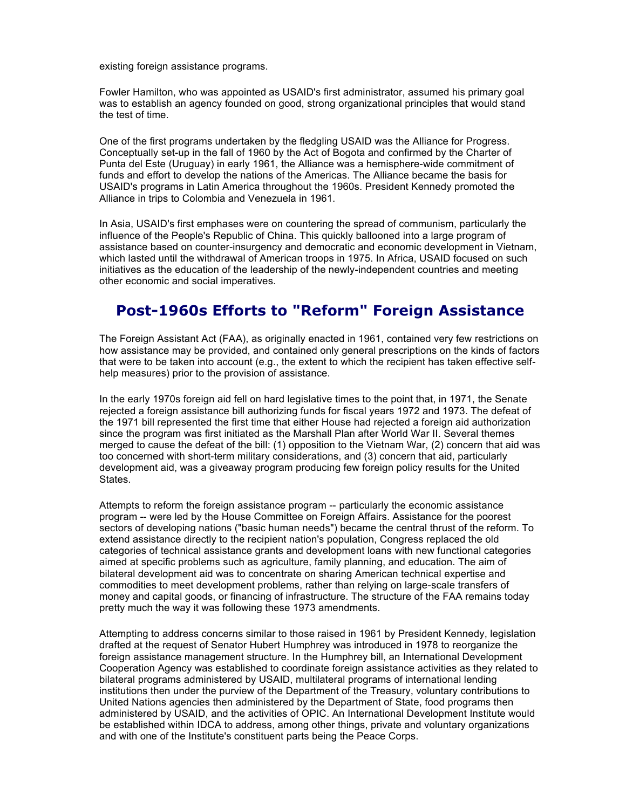<span id="page-3-0"></span>existing foreign assistance programs.

Fowler Hamilton, who was appointed as USAID's first administrator, assumed his primary goal was to establish an agency founded on good, strong organizational principles that would stand the test of time.

One of the first programs undertaken by the fledgling USAID was the Alliance for Progress. Conceptually set-up in the fall of 1960 by the Act of Bogota and confirmed by the Charter of Punta del Este (Uruguay) in early 1961, the Alliance was a hemisphere-wide commitment of funds and effort to develop the nations of the Americas. The Alliance became the basis for USAID's programs in Latin America throughout the 1960s. President Kennedy promoted the Alliance in trips to Colombia and Venezuela in 1961.

In Asia, USAID's first emphases were on countering the spread of communism, particularly the influence of the People's Republic of China. This quickly ballooned into a large program of assistance based on counter-insurgency and democratic and economic development in Vietnam, which lasted until the withdrawal of American troops in 1975. In Africa, USAID focused on such initiatives as the education of the leadership of the newly-independent countries and meeting other economic and social imperatives.

# **Post-1960s Efforts to "Reform" Foreign Assistance**

The Foreign Assistant Act (FAA), as originally enacted in 1961, contained very few restrictions on how assistance may be provided, and contained only general prescriptions on the kinds of factors that were to be taken into account (e.g., the extent to which the recipient has taken effective selfhelp measures) prior to the provision of assistance.

In the early 1970s foreign aid fell on hard legislative times to the point that, in 1971, the Senate rejected a foreign assistance bill authorizing funds for fiscal years 1972 and 1973. The defeat of the 1971 bill represented the first time that either House had rejected a foreign aid authorization since the program was first initiated as the Marshall Plan after World War II. Several themes merged to cause the defeat of the bill: (1) opposition to the Vietnam War, (2) concern that aid was too concerned with short-term military considerations, and (3) concern that aid, particularly development aid, was a giveaway program producing few foreign policy results for the United States.

Attempts to reform the foreign assistance program -- particularly the economic assistance program -- were led by the House Committee on Foreign Affairs. Assistance for the poorest sectors of developing nations ("basic human needs") became the central thrust of the reform. To extend assistance directly to the recipient nation's population, Congress replaced the old categories of technical assistance grants and development loans with new functional categories aimed at specific problems such as agriculture, family planning, and education. The aim of bilateral development aid was to concentrate on sharing American technical expertise and commodities to meet development problems, rather than relying on large-scale transfers of money and capital goods, or financing of infrastructure. The structure of the FAA remains today pretty much the way it was following these 1973 amendments.

Attempting to address concerns similar to those raised in 1961 by President Kennedy, legislation drafted at the request of Senator Hubert Humphrey was introduced in 1978 to reorganize the foreign assistance management structure. In the Humphrey bill, an International Development Cooperation Agency was established to coordinate foreign assistance activities as they related to bilateral programs administered by USAID, multilateral programs of international lending institutions then under the purview of the Department of the Treasury, voluntary contributions to United Nations agencies then administered by the Department of State, food programs then administered by USAID, and the activities of OPIC. An International Development Institute would be established within IDCA to address, among other things, private and voluntary organizations and with one of the Institute's constituent parts being the Peace Corps.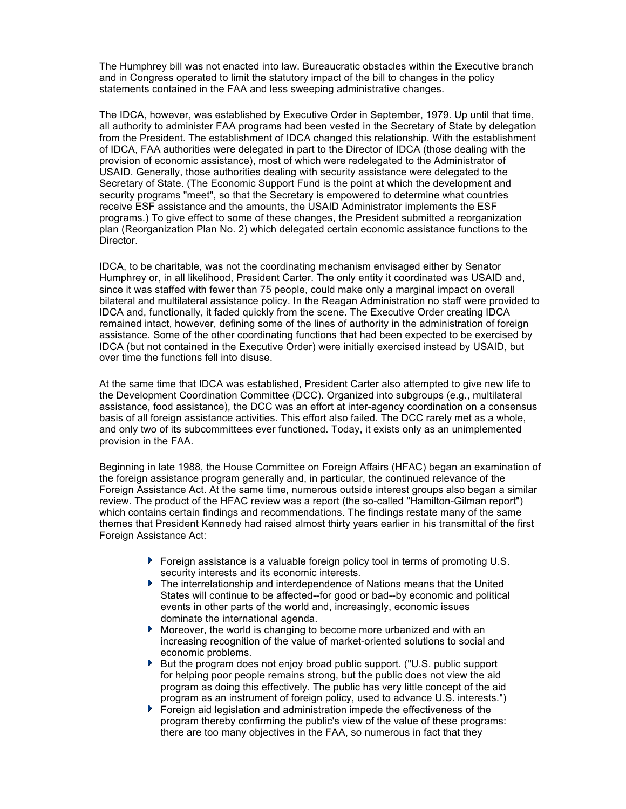The Humphrey bill was not enacted into law. Bureaucratic obstacles within the Executive branch and in Congress operated to limit the statutory impact of the bill to changes in the policy statements contained in the FAA and less sweeping administrative changes.

The IDCA, however, was established by Executive Order in September, 1979. Up until that time, all authority to administer FAA programs had been vested in the Secretary of State by delegation from the President. The establishment of IDCA changed this relationship. With the establishment of IDCA, FAA authorities were delegated in part to the Director of IDCA (those dealing with the provision of economic assistance), most of which were redelegated to the Administrator of USAID. Generally, those authorities dealing with security assistance were delegated to the Secretary of State. (The Economic Support Fund is the point at which the development and security programs "meet", so that the Secretary is empowered to determine what countries receive ESF assistance and the amounts, the USAID Administrator implements the ESF programs.) To give effect to some of these changes, the President submitted a reorganization plan (Reorganization Plan No. 2) which delegated certain economic assistance functions to the Director.

IDCA, to be charitable, was not the coordinating mechanism envisaged either by Senator Humphrey or, in all likelihood, President Carter. The only entity it coordinated was USAID and, since it was staffed with fewer than 75 people, could make only a marginal impact on overall bilateral and multilateral assistance policy. In the Reagan Administration no staff were provided to IDCA and, functionally, it faded quickly from the scene. The Executive Order creating IDCA remained intact, however, defining some of the lines of authority in the administration of foreign assistance. Some of the other coordinating functions that had been expected to be exercised by IDCA (but not contained in the Executive Order) were initially exercised instead by USAID, but over time the functions fell into disuse.

At the same time that IDCA was established, President Carter also attempted to give new life to the Development Coordination Committee (DCC). Organized into subgroups (e.g., multilateral assistance, food assistance), the DCC was an effort at inter-agency coordination on a consensus basis of all foreign assistance activities. This effort also failed. The DCC rarely met as a whole, and only two of its subcommittees ever functioned. Today, it exists only as an unimplemented provision in the FAA.

Beginning in late 1988, the House Committee on Foreign Affairs (HFAC) began an examination of the foreign assistance program generally and, in particular, the continued relevance of the Foreign Assistance Act. At the same time, numerous outside interest groups also began a similar review. The product of the HFAC review was a report (the so-called "Hamilton-Gilman report") which contains certain findings and recommendations. The findings restate many of the same themes that President Kennedy had raised almost thirty years earlier in his transmittal of the first Foreign Assistance Act:

- Foreign assistance is a valuable foreign policy tool in terms of promoting U.S. security interests and its economic interests.
- **F** The interrelationship and interdependence of Nations means that the United States will continue to be affected--for good or bad--by economic and political events in other parts of the world and, increasingly, economic issues dominate the international agenda.
- Moreover, the world is changing to become more urbanized and with an increasing recognition of the value of market-oriented solutions to social and economic problems.
- But the program does not enjoy broad public support. ("U.S. public support for helping poor people remains strong, but the public does not view the aid program as doing this effectively. The public has very little concept of the aid program as an instrument of foreign policy, used to advance U.S. interests.")
- **Foreign aid legislation and administration impede the effectiveness of the** program thereby confirming the public's view of the value of these programs: there are too many objectives in the FAA, so numerous in fact that they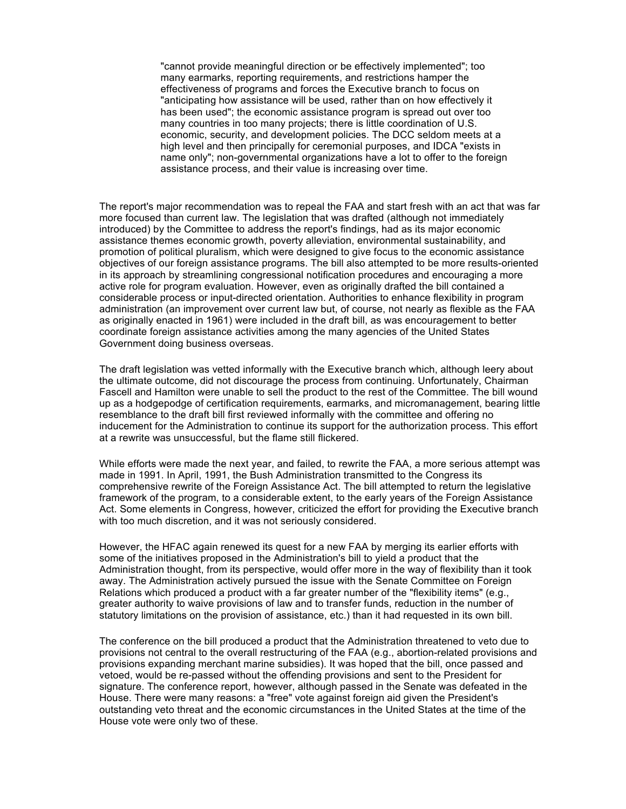"cannot provide meaningful direction or be effectively implemented"; too many earmarks, reporting requirements, and restrictions hamper the effectiveness of programs and forces the Executive branch to focus on "anticipating how assistance will be used, rather than on how effectively it has been used"; the economic assistance program is spread out over too many countries in too many projects; there is little coordination of U.S. economic, security, and development policies. The DCC seldom meets at a high level and then principally for ceremonial purposes, and IDCA "exists in name only"; non-governmental organizations have a lot to offer to the foreign assistance process, and their value is increasing over time.

The report's major recommendation was to repeal the FAA and start fresh with an act that was far more focused than current law. The legislation that was drafted (although not immediately introduced) by the Committee to address the report's findings, had as its major economic assistance themes economic growth, poverty alleviation, environmental sustainability, and promotion of political pluralism, which were designed to give focus to the economic assistance objectives of our foreign assistance programs. The bill also attempted to be more results-oriented in its approach by streamlining congressional notification procedures and encouraging a more active role for program evaluation. However, even as originally drafted the bill contained a considerable process or input-directed orientation. Authorities to enhance flexibility in program administration (an improvement over current law but, of course, not nearly as flexible as the FAA as originally enacted in 1961) were included in the draft bill, as was encouragement to better coordinate foreign assistance activities among the many agencies of the United States Government doing business overseas.

The draft legislation was vetted informally with the Executive branch which, although leery about the ultimate outcome, did not discourage the process from continuing. Unfortunately, Chairman Fascell and Hamilton were unable to sell the product to the rest of the Committee. The bill wound up as a hodgepodge of certification requirements, earmarks, and micromanagement, bearing little resemblance to the draft bill first reviewed informally with the committee and offering no inducement for the Administration to continue its support for the authorization process. This effort at a rewrite was unsuccessful, but the flame still flickered.

While efforts were made the next year, and failed, to rewrite the FAA, a more serious attempt was made in 1991. In April, 1991, the Bush Administration transmitted to the Congress its comprehensive rewrite of the Foreign Assistance Act. The bill attempted to return the legislative framework of the program, to a considerable extent, to the early years of the Foreign Assistance Act. Some elements in Congress, however, criticized the effort for providing the Executive branch with too much discretion, and it was not seriously considered.

However, the HFAC again renewed its quest for a new FAA by merging its earlier efforts with some of the initiatives proposed in the Administration's bill to yield a product that the Administration thought, from its perspective, would offer more in the way of flexibility than it took away. The Administration actively pursued the issue with the Senate Committee on Foreign Relations which produced a product with a far greater number of the "flexibility items" (e.g., greater authority to waive provisions of law and to transfer funds, reduction in the number of statutory limitations on the provision of assistance, etc.) than it had requested in its own bill.

The conference on the bill produced a product that the Administration threatened to veto due to provisions not central to the overall restructuring of the FAA (e.g., abortion-related provisions and provisions expanding merchant marine subsidies). It was hoped that the bill, once passed and vetoed, would be re-passed without the offending provisions and sent to the President for signature. The conference report, however, although passed in the Senate was defeated in the House. There were many reasons: a "free" vote against foreign aid given the President's outstanding veto threat and the economic circumstances in the United States at the time of the House vote were only two of these.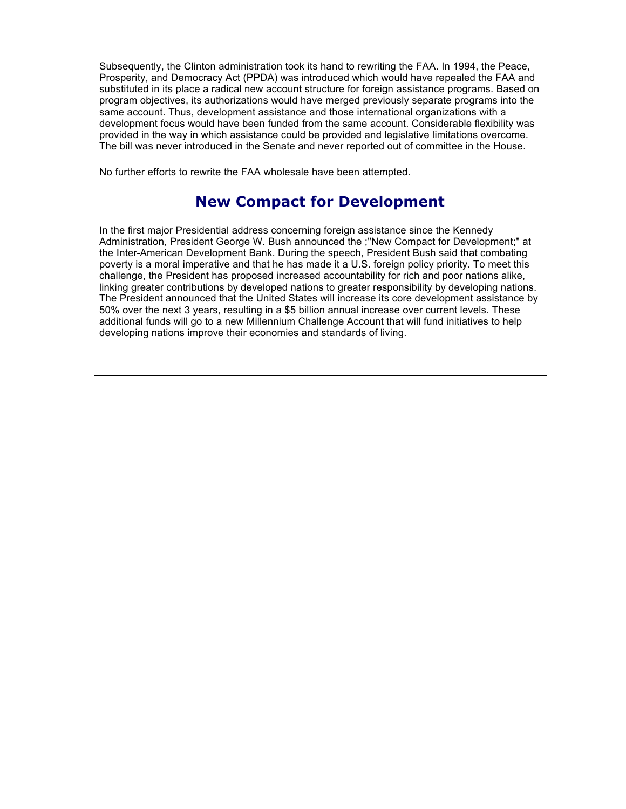Subsequently, the Clinton administration took its hand to rewriting the FAA. In 1994, the Peace, Prosperity, and Democracy Act (PPDA) was introduced which would have repealed the FAA and substituted in its place a radical new account structure for foreign assistance programs. Based on program objectives, its authorizations would have merged previously separate programs into the same account. Thus, development assistance and those international organizations with a development focus would have been funded from the same account. Considerable flexibility was provided in the way in which assistance could be provided and legislative limitations overcome. The bill was never introduced in the Senate and never reported out of committee in the House.

No further efforts to rewrite the FAA wholesale have been attempted.

# **New Compact for Development**

In the first major Presidential address concerning foreign assistance since the Kennedy Administration, President George W. Bush announced the ;"New Compact for Development;" at the Inter-American Development Bank. During the speech, President Bush said that combating poverty is a moral imperative and that he has made it a U.S. foreign policy priority. To meet this challenge, the President has proposed increased accountability for rich and poor nations alike, linking greater contributions by developed nations to greater responsibility by developing nations. The President announced that the United States will increase its core development assistance by 50% over the next 3 years, resulting in a \$5 billion annual increase over current levels. These additional funds will go to a new Millennium Challenge Account that will fund initiatives to help developing nations improve their economies and standards of living.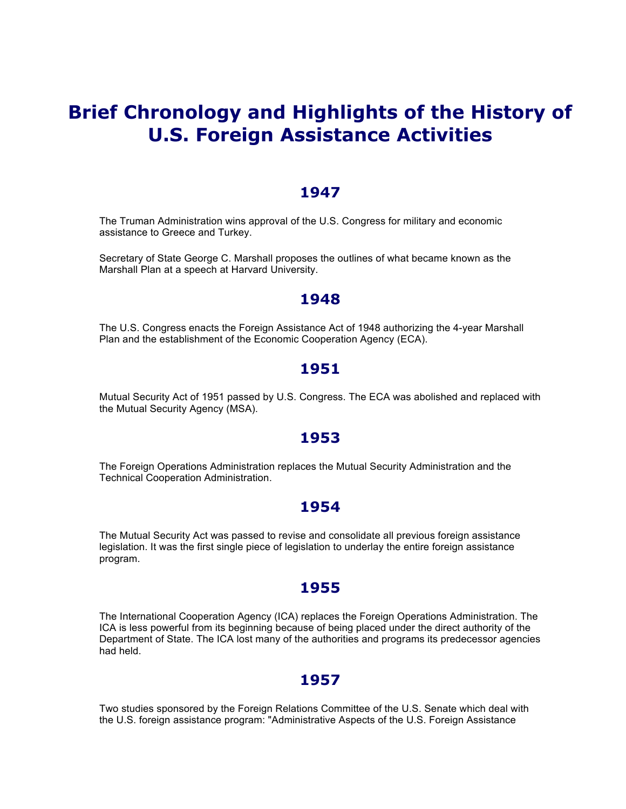# <span id="page-7-0"></span>**Brief Chronology and Highlights of the History of U.S. Foreign Assistance Activities**

### **1947**

The Truman Administration wins approval of the U.S. Congress for military and economic assistance to Greece and Turkey.

Secretary of State George C. Marshall proposes the outlines of what became known as the Marshall Plan at a speech at Harvard University.

#### **1948**

The U.S. Congress enacts the Foreign Assistance Act of 1948 authorizing the 4-year Marshall Plan and the establishment of the Economic Cooperation Agency (ECA).

### **1951**

Mutual Security Act of 1951 passed by U.S. Congress. The ECA was abolished and replaced with the Mutual Security Agency (MSA).

#### **1953**

The Foreign Operations Administration replaces the Mutual Security Administration and the Technical Cooperation Administration.

#### **1954**

The Mutual Security Act was passed to revise and consolidate all previous foreign assistance legislation. It was the first single piece of legislation to underlay the entire foreign assistance program.

#### **1955**

The International Cooperation Agency (ICA) replaces the Foreign Operations Administration. The ICA is less powerful from its beginning because of being placed under the direct authority of the Department of State. The ICA lost many of the authorities and programs its predecessor agencies had held.

### **1957**

Two studies sponsored by the Foreign Relations Committee of the U.S. Senate which deal with the U.S. foreign assistance program: "Administrative Aspects of the U.S. Foreign Assistance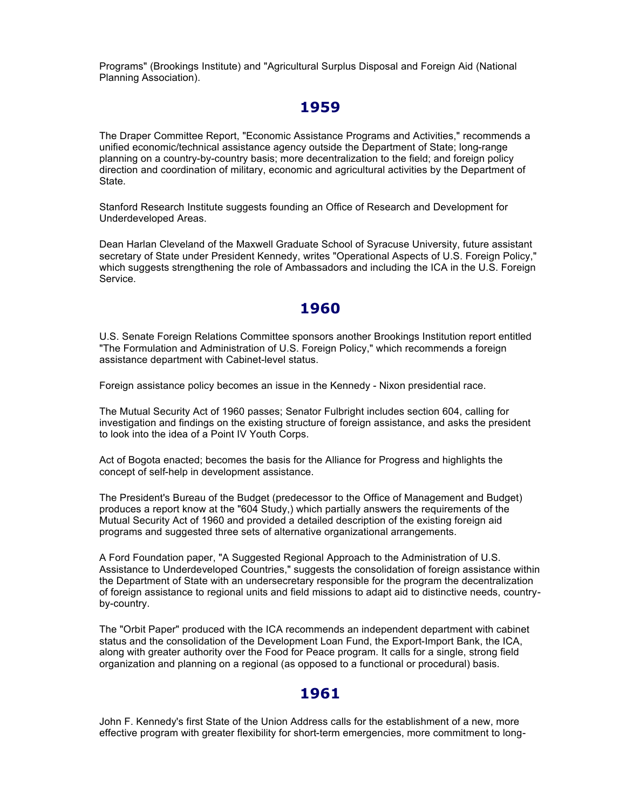Programs" (Brookings Institute) and "Agricultural Surplus Disposal and Foreign Aid (National Planning Association).

# **1959**

The Draper Committee Report, "Economic Assistance Programs and Activities," recommends a unified economic/technical assistance agency outside the Department of State; long-range planning on a country-by-country basis; more decentralization to the field; and foreign policy direction and coordination of military, economic and agricultural activities by the Department of State.

Stanford Research Institute suggests founding an Office of Research and Development for Underdeveloped Areas.

Dean Harlan Cleveland of the Maxwell Graduate School of Syracuse University, future assistant secretary of State under President Kennedy, writes "Operational Aspects of U.S. Foreign Policy," which suggests strengthening the role of Ambassadors and including the ICA in the U.S. Foreign Service.

# **1960**

U.S. Senate Foreign Relations Committee sponsors another Brookings Institution report entitled "The Formulation and Administration of U.S. Foreign Policy," which recommends a foreign assistance department with Cabinet-level status.

Foreign assistance policy becomes an issue in the Kennedy - Nixon presidential race.

The Mutual Security Act of 1960 passes; Senator Fulbright includes section 604, calling for investigation and findings on the existing structure of foreign assistance, and asks the president to look into the idea of a Point IV Youth Corps.

Act of Bogota enacted; becomes the basis for the Alliance for Progress and highlights the concept of self-help in development assistance.

The President's Bureau of the Budget (predecessor to the Office of Management and Budget) produces a report know at the "604 Study,) which partially answers the requirements of the Mutual Security Act of 1960 and provided a detailed description of the existing foreign aid programs and suggested three sets of alternative organizational arrangements.

A Ford Foundation paper, "A Suggested Regional Approach to the Administration of U.S. Assistance to Underdeveloped Countries," suggests the consolidation of foreign assistance within the Department of State with an undersecretary responsible for the program the decentralization of foreign assistance to regional units and field missions to adapt aid to distinctive needs, countryby-country.

The "Orbit Paper" produced with the ICA recommends an independent department with cabinet status and the consolidation of the Development Loan Fund, the Export-Import Bank, the ICA, along with greater authority over the Food for Peace program. It calls for a single, strong field organization and planning on a regional (as opposed to a functional or procedural) basis.

# **1961**

John F. Kennedy's first State of the Union Address calls for the establishment of a new, more effective program with greater flexibility for short-term emergencies, more commitment to long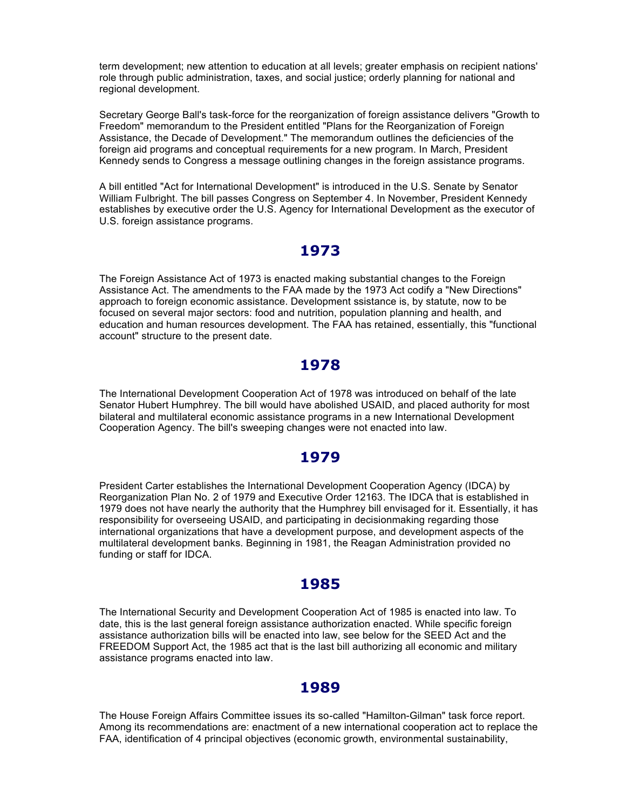term development; new attention to education at all levels; greater emphasis on recipient nations' role through public administration, taxes, and social justice; orderly planning for national and regional development.

Secretary George Ball's task-force for the reorganization of foreign assistance delivers "Growth to Freedom" memorandum to the President entitled "Plans for the Reorganization of Foreign Assistance, the Decade of Development." The memorandum outlines the deficiencies of the foreign aid programs and conceptual requirements for a new program. In March, President Kennedy sends to Congress a message outlining changes in the foreign assistance programs.

A bill entitled "Act for International Development" is introduced in the U.S. Senate by Senator William Fulbright. The bill passes Congress on September 4. In November, President Kennedy establishes by executive order the U.S. Agency for International Development as the executor of U.S. foreign assistance programs.

### **1973**

The Foreign Assistance Act of 1973 is enacted making substantial changes to the Foreign Assistance Act. The amendments to the FAA made by the 1973 Act codify a "New Directions" approach to foreign economic assistance. Development ssistance is, by statute, now to be focused on several major sectors: food and nutrition, population planning and health, and education and human resources development. The FAA has retained, essentially, this "functional account" structure to the present date.

### **1978**

The International Development Cooperation Act of 1978 was introduced on behalf of the late Senator Hubert Humphrey. The bill would have abolished USAID, and placed authority for most bilateral and multilateral economic assistance programs in a new International Development Cooperation Agency. The bill's sweeping changes were not enacted into law.

### **1979**

President Carter establishes the International Development Cooperation Agency (IDCA) by Reorganization Plan No. 2 of 1979 and Executive Order 12163. The IDCA that is established in 1979 does not have nearly the authority that the Humphrey bill envisaged for it. Essentially, it has responsibility for overseeing USAID, and participating in decisionmaking regarding those international organizations that have a development purpose, and development aspects of the multilateral development banks. Beginning in 1981, the Reagan Administration provided no funding or staff for IDCA.

### **1985**

The International Security and Development Cooperation Act of 1985 is enacted into law. To date, this is the last general foreign assistance authorization enacted. While specific foreign assistance authorization bills will be enacted into law, see below for the SEED Act and the FREEDOM Support Act, the 1985 act that is the last bill authorizing all economic and military assistance programs enacted into law.

### **1989**

The House Foreign Affairs Committee issues its so-called "Hamilton-Gilman" task force report. Among its recommendations are: enactment of a new international cooperation act to replace the FAA, identification of 4 principal objectives (economic growth, environmental sustainability,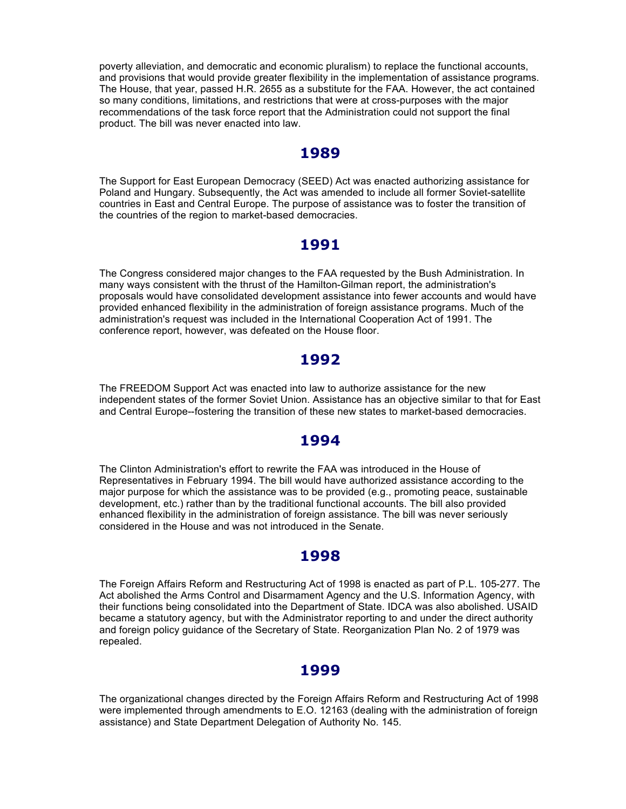poverty alleviation, and democratic and economic pluralism) to replace the functional accounts, and provisions that would provide greater flexibility in the implementation of assistance programs. The House, that year, passed H.R. 2655 as a substitute for the FAA. However, the act contained so many conditions, limitations, and restrictions that were at cross-purposes with the major recommendations of the task force report that the Administration could not support the final product. The bill was never enacted into law.

### **1989**

The Support for East European Democracy (SEED) Act was enacted authorizing assistance for Poland and Hungary. Subsequently, the Act was amended to include all former Soviet-satellite countries in East and Central Europe. The purpose of assistance was to foster the transition of the countries of the region to market-based democracies.

### **1991**

The Congress considered major changes to the FAA requested by the Bush Administration. In many ways consistent with the thrust of the Hamilton-Gilman report, the administration's proposals would have consolidated development assistance into fewer accounts and would have provided enhanced flexibility in the administration of foreign assistance programs. Much of the administration's request was included in the International Cooperation Act of 1991. The conference report, however, was defeated on the House floor.

### **1992**

The FREEDOM Support Act was enacted into law to authorize assistance for the new independent states of the former Soviet Union. Assistance has an objective similar to that for East and Central Europe--fostering the transition of these new states to market-based democracies.

### **1994**

The Clinton Administration's effort to rewrite the FAA was introduced in the House of Representatives in February 1994. The bill would have authorized assistance according to the major purpose for which the assistance was to be provided (e.g., promoting peace, sustainable development, etc.) rather than by the traditional functional accounts. The bill also provided enhanced flexibility in the administration of foreign assistance. The bill was never seriously considered in the House and was not introduced in the Senate.

### **1998**

The Foreign Affairs Reform and Restructuring Act of 1998 is enacted as part of P.L. 105-277. The Act abolished the Arms Control and Disarmament Agency and the U.S. Information Agency, with their functions being consolidated into the Department of State. IDCA was also abolished. USAID became a statutory agency, but with the Administrator reporting to and under the direct authority and foreign policy guidance of the Secretary of State. Reorganization Plan No. 2 of 1979 was repealed.

### **1999**

The organizational changes directed by the Foreign Affairs Reform and Restructuring Act of 1998 were implemented through amendments to E.O. 12163 (dealing with the administration of foreign assistance) and State Department Delegation of Authority No. 145.